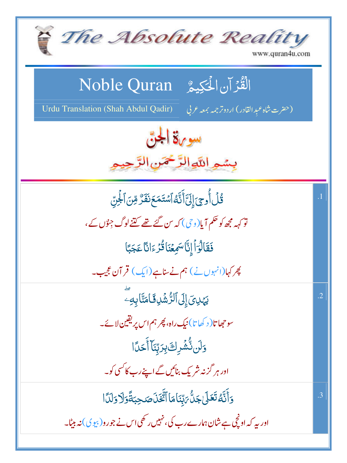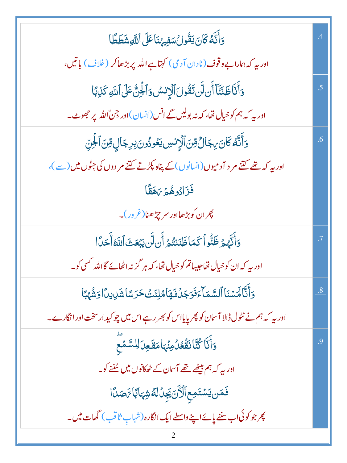| $\overline{.4}$ |
|-----------------|
|                 |
| .5              |
|                 |
| .6              |
|                 |
|                 |
|                 |
| $\overline{.7}$ |
|                 |
| .8              |
|                 |
| .9              |
|                 |
|                 |
|                 |
|                 |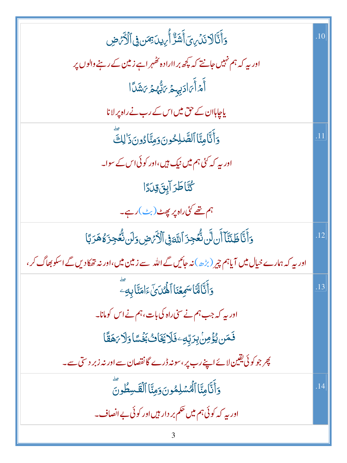| <u>و</u> َأَنَّالَا نَدۡىٰ ِیَ أَشَرٌّ أُیِیدَ نِصَن فِی ٱلۡأَیۡصِ                                                     | 10  |
|------------------------------------------------------------------------------------------------------------------------|-----|
| اور بیہ کہ ہم نہیں جانتے کہ پچھ بر اارادہ تھٰہر اہے زمین کے رہنے والوں پر                                              |     |
| أَمْ أَىَ ادَيِهِيمُ مَايُّهُمْ مَشَلًا                                                                                |     |
| یاجاہان کے حق میں اس کے رب نے راہ پر لانا                                                                              |     |
| وَأَنَّامِنَّا ٱلصَّلِحُونَ وَمِنَّادُونَ ذَٰ لِكَ                                                                     |     |
| اور <mark>پیر کہ <sup>ک</sup>ئی ہم میں نیک ہی</mark> ں،اور کوئی اس کے سوا۔                                             |     |
| <b>ڴ</b> ڹؖۜٳڟڗٳؠؚۣؾؘۊؚڹٳٙٳ                                                                                            |     |
| ہم تھے کئی راہ پر بھٹ(بٹ)رہے۔                                                                                          |     |
| <u>و</u> َأَنَّا ظَنَنَّآ أَن لَّن نُّعُجِزَ ٱللَّهَ فِى ٱلۡأَرۡهِ صِ وَلَن نُّعۡجِزَةُ هَرَبًا                        |     |
| اور بیہ کہ ہمارے خیال <b>میں آیاہم چیر (بڑھ)نہ جائیں گے الل</b> ّہ سے <b>زمین میں،اور نہ تھ</b> کادیں گے اسکو بھاگ کر، |     |
| وَأَنَّالَةَاسَمِعۡنَا ٱلْمُّلَىٰٓئَۦٓ اٰمَنَّابِهِۦ                                                                   | .13 |
| اور بہ کہ جب ہم نے سیٰ راہ کی بات، ہم نے اس کومانا۔                                                                    |     |
| ڣؘڡؘ؈۠ؽ۠ٶؚٙڛۢڹؚڔۜؠۨۜڡؚٷؘؘڶٳۜۜێٵؘٮٛ۠ڹۼ۫ۺٲۏڶٳؠؘۿڦؘٲ                                                                      |     |
| پھر جو کوئی یقین لائےاپنے رب پر،سونہ ڈرے گانقصان سے اور نہ زبر دستی سے۔                                                |     |
| وَأَنَّامِنَّا ٱلْمُسْلِمُونَ وَمِنَّا ٱلْقَسِطُونَ                                                                    | 14  |
| اور بیہ کہ کوئی ہم میں حکم بر دار ہیں اور کوئی بے انصاف۔                                                               |     |
|                                                                                                                        |     |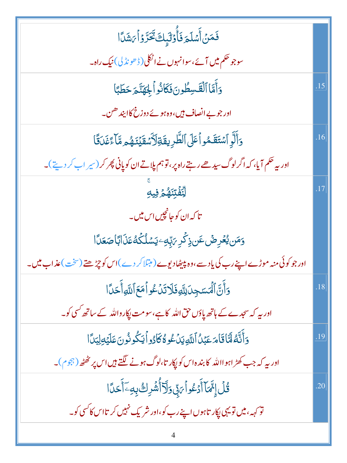| فَمَنۡ أَسۡلَمَ فَأُوۡلَٰٓبِكَ تَحَرَّوۡأَيَٰٓشَآا                                                 |     |
|----------------------------------------------------------------------------------------------------|-----|
| سوجو حک <mark>م میں آ</mark> ئے،سوانہوں نے اٹکلی(ڈھونڈلی) نیک راہ۔                                 |     |
| وَأَمَّا ٱلْقَسِطُونَ فَكَانُواْ لِحِهَنَّمَ حَطَبًا                                               | .15 |
| اور جو بے انصاف ہیں،وہ ہوئے دوزخ کاابید ھن۔                                                        |     |
| وَأَلَّوِ ٱسۡتَقَمُواۡعَلَى ٱلطَّرِيقَةِلَأَسۡقَيۡنَـٰهُمۡ مَّاۤاَءَٰٓغَدَقَّا                     | .16 |
| اور بہ حکم آیا، کہ اگرلوگ سیدھے رہتے راہ پر ، توہم پلاتے ان کو پانی پھر کر (سیر اب کر دیتے)۔       |     |
| ڵۣڹٞڡؙٛٙؾ <i>ڹٙۿ۠</i> ۄٙ۫ڣۣڮ                                                                       |     |
| تا کہ ان کو جانچیں اس میں۔                                                                         |     |
| <u>و</u> َمَن يُعۡرِضۡ عَن ذِكۡرِ <i>بَ</i> ابِّهِۦۢ يَسۡلُكُهُۚ عَذَالَبَاۖ صَعَدًا               |     |
| اور جو کوئی منہ موڑے اپنے رب کی یاد سے ،وہ پیٹھادیوے (متلا کر دے )اس کو چڑھتے (سخت )عذاب میں۔      |     |
| وَأَنَّ ٱلۡمَسَجِدَلِلَّهِ فَلَاتَدۡكُوۡ أَمَعَ ٱللَّهِ أَحَدًا                                    | .18 |
| اور پہ کہ سجدے کے ہاتھ پاؤں حق اللہ کاہے،سو مت پکارواللہ کے ساتھ کسی کو۔                           |     |
| <u>و</u> َأَنَّهُ لَمَّا قَامَ عَبْلُ ٱللَّهِ يَدُّعُوهُ كَأَدُواْ يَكُونُونَ عَلَيْهِ لِبَلَ ا    | .19 |
| اور پہ کہ جب کھڑ اہوااللہ کابندہ اس کو پکار تا،لوگ ہونے لگتے ہیں اس پر کٹھٹھ ( ہجوم )۔             |     |
| <u>ػؙڶٙٳۣڋۜ؆ٙٲؘۮٙػٛۅ</u> ٲ <i>؆</i> ۪ڹۨ؋ؘڶۜڗٚٲٛۺ۫ڔڬ؋ۑؚڣۦٓٲۜڂڐؘٵ                                    | .20 |
| تو <sub>کهه</sub> ، میں تو یہی پکار تاہوں اپنے رب کو، اور شریک نہیں کر تااس کا <sup>کس</sup> ی کو۔ |     |
|                                                                                                    |     |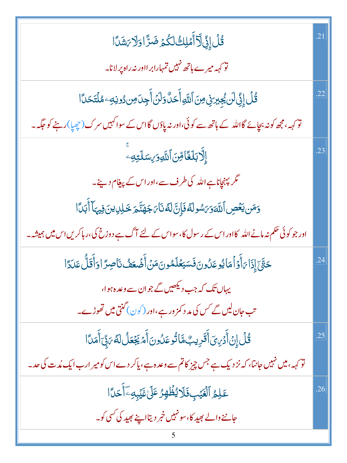| <u>ػؙڶٳؚۣڋۣڶۜڗ</u> ٚٲؘمۡلِكُ لَكُمۡ ضَرَّاوَلَا يَشَدَّا                                                       | $\overline{21}$ |
|----------------------------------------------------------------------------------------------------------------|-----------------|
| نو <sub>ک</sub> ہہ میرے ہاتھ نہیں تمہارابر ااور نہ راہ پر لانا۔                                                |                 |
| ڠؙڶٙٳؚ <sub>ڶۣ</sub> ٚڶڶ؉ۣٛۼؚڹڗؚڧۣ۬؈ؘؚٱڵڶ <i>ۧ</i> ۊٲۜڂڷؙۏڶڹٙٲۜڿؚٮؘ؈ؽۏڹ <sub>ٙ</sub> ٷڷؾؘڂٵؘ                   | .22             |
| تو <sub>کہہ</sub> ،مجھ کو نہ بچائے گااللہ کے ہاتھ سے کوئی،اور نہ پاؤں گااس کے سواکہیں سرک(چچپا)ر ہنے کو جگہ ۔  |                 |
| ٳۣڵ <b>ؖٲڹڶڂ</b> ۧٲڡؚؚٚڽؘٱڷڷ <u>ٙۅ</u> ۯ <sub>ٟ؆</sub> ڛٙڶؾ <sub>ؚڰ</sub> ۦۨ                                   | .23             |
| گر پہنچاناہےاللہ کی طرف سے،اور اس کے پیغام دینے۔                                                               |                 |
| وَمَن يَعۡصِ ٱللَّهَوَىَسُولَهُ فَإِنَّ لَهُ نَآءَ جَهَنَّمَ خَلِلِينَ فِيهَآ أَبَلَّ ا                        |                 |
| اور جو کوئی حکم نہ مانے اللہ کااور اس کے رسول کا، سواس کے لئے آگ ہے دوزخ کی،ر ہاکریں اس میں ہمیشہ ۔            |                 |
| <i>ڂۊ۠ۜڹٙ</i> ٳؚۣۮؘٳ <i>ؠٙ</i> ٲؖۉ۬ٱڡؘٳؽؙۅعَڷۏڹؘڣؘۜڛؘۼڶۿۏڹؘڡؘڹؗٲؘ۠ڞۘ۫ۼڡٛ۠ڹٵۻؚڗٙٳۏٲؘٛقۜڷ۠ٸؘۮٲ                   | .24             |
| یہاں تک کہ جب دیکھیں گے جوان سے وعدہ ہوا،                                                                      |                 |
| تب حان لیں گے <sup>کس</sup> کی م <i>د د کمز ور</i> ہے،اور (کون) گنتی میں تھوڑے۔                                |                 |
| <u>ٷؙڶٳؚڹٲٙۮڛؾٙٲۜڦؘڔ</u> ؠبۨٛۿٵڐٛۅعؘڵؙۅڹٲؖۿڲۼؘڡڵڶڡٞ؆ٜڹۜٲؘۧ۫ڡؘٮٲٳ                                               | .25             |
| تو <sub>کہہ</sub> ، میں نہیں جانتا، کہ نز دیک ہے جس چیز کاتم سے وعدہ ہے، یاکر دے اس کو میر ارب ایک مُدت کی حد۔ |                 |
| عَلِمُ ٱلۡغَيۡبِفَلَايُظۡهِرُ عَلَىٰغَيۡبِهِۦٓٲَحَدًّا                                                         | .26             |
| جاننے والے بھید کا، سونہیں خبر دیتااپنے بھید کی کسی کو۔                                                        |                 |
|                                                                                                                |                 |